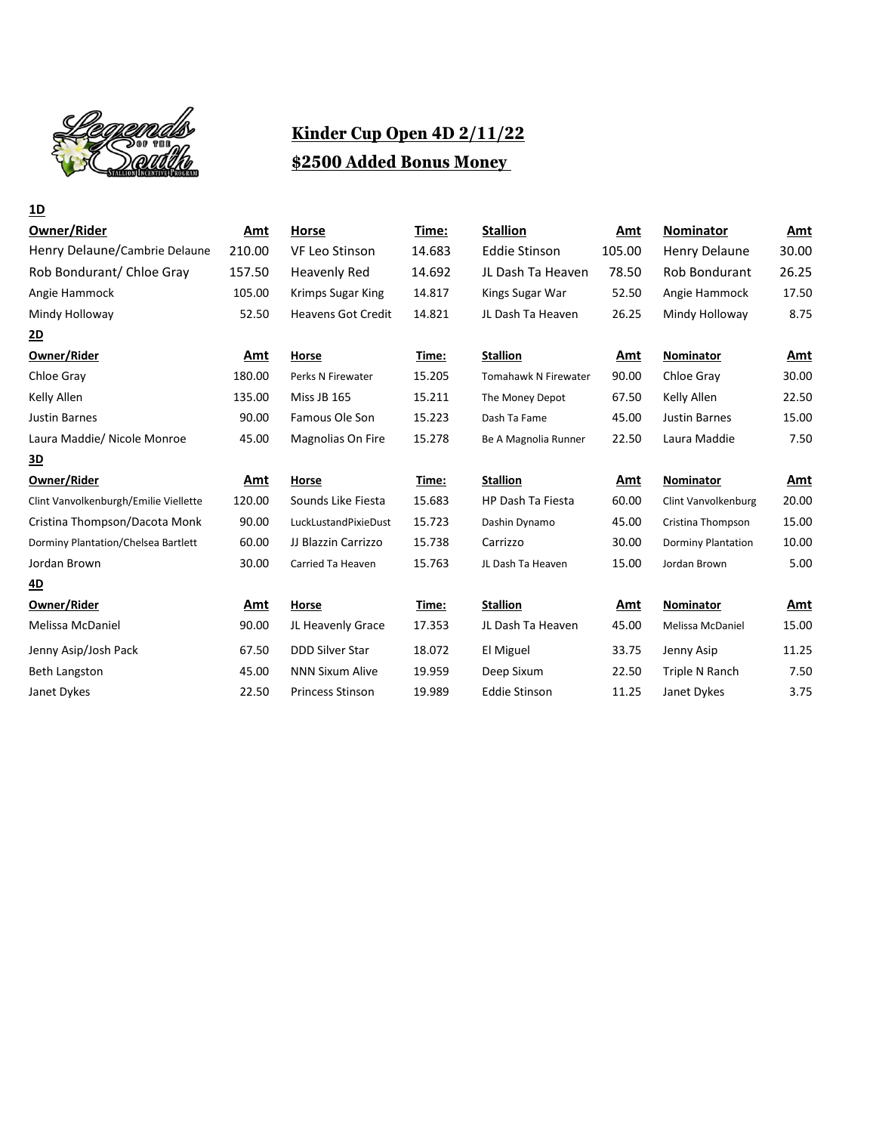

## **Kinder Cup Open 4D 2/11/22 \$2500 Added Bonus Money**

| <u>1D</u>                             |        |                           |        |                      |        |                           |            |
|---------------------------------------|--------|---------------------------|--------|----------------------|--------|---------------------------|------------|
| Owner/Rider                           | Amt    | Horse                     | Time:  | <b>Stallion</b>      | Amt    | <b>Nominator</b>          | Amt        |
| Henry Delaune/Cambrie Delaune         | 210.00 | <b>VF Leo Stinson</b>     | 14.683 | <b>Eddie Stinson</b> | 105.00 | <b>Henry Delaune</b>      | 30.00      |
| Rob Bondurant/ Chloe Gray             | 157.50 | <b>Heavenly Red</b>       | 14.692 | JL Dash Ta Heaven    | 78.50  | <b>Rob Bondurant</b>      | 26.25      |
| Angie Hammock                         | 105.00 | <b>Krimps Sugar King</b>  | 14.817 | Kings Sugar War      | 52.50  | Angie Hammock             | 17.50      |
| Mindy Holloway                        | 52.50  | <b>Heavens Got Credit</b> | 14.821 | JL Dash Ta Heaven    | 26.25  | Mindy Holloway            | 8.75       |
| <u>2D</u>                             |        |                           |        |                      |        |                           |            |
| Owner/Rider                           | Amt    | Horse                     | Time:  | <b>Stallion</b>      | Amt    | Nominator                 | Amt        |
| Chloe Gray                            | 180.00 | Perks N Firewater         | 15.205 | Tomahawk N Firewater | 90.00  | Chloe Gray                | 30.00      |
| Kelly Allen                           | 135.00 | <b>Miss JB 165</b>        | 15.211 | The Money Depot      | 67.50  | Kelly Allen               | 22.50      |
| Justin Barnes                         | 90.00  | Famous Ole Son            | 15.223 | Dash Ta Fame         | 45.00  | <b>Justin Barnes</b>      | 15.00      |
| Laura Maddie/ Nicole Monroe           | 45.00  | Magnolias On Fire         | 15.278 | Be A Magnolia Runner | 22.50  | Laura Maddie              | 7.50       |
| <u>3D</u>                             |        |                           |        |                      |        |                           |            |
| Owner/Rider                           | Amt    | Horse                     | Time:  | <b>Stallion</b>      | Amt    | Nominator                 | <u>Amt</u> |
| Clint Vanvolkenburgh/Emilie Viellette | 120.00 | Sounds Like Fiesta        | 15.683 | HP Dash Ta Fiesta    | 60.00  | Clint Vanvolkenburg       | 20.00      |
| Cristina Thompson/Dacota Monk         | 90.00  | LuckLustandPixieDust      | 15.723 | Dashin Dynamo        | 45.00  | Cristina Thompson         | 15.00      |
| Dorminy Plantation/Chelsea Bartlett   | 60.00  | JJ Blazzin Carrizzo       | 15.738 | Carrizzo             | 30.00  | <b>Dorminy Plantation</b> | 10.00      |
| Jordan Brown                          | 30.00  | Carried Ta Heaven         | 15.763 | JL Dash Ta Heaven    | 15.00  | Jordan Brown              | 5.00       |
| <u>4D</u>                             |        |                           |        |                      |        |                           |            |
| Owner/Rider                           | Amt    | <b>Horse</b>              | Time:  | <b>Stallion</b>      | Amt    | Nominator                 | Amt        |
| Melissa McDaniel                      | 90.00  | JL Heavenly Grace         | 17.353 | JL Dash Ta Heaven    | 45.00  | Melissa McDaniel          | 15.00      |
| Jenny Asip/Josh Pack                  | 67.50  | <b>DDD Silver Star</b>    | 18.072 | El Miguel            | 33.75  | Jenny Asip                | 11.25      |
| <b>Beth Langston</b>                  | 45.00  | <b>NNN Sixum Alive</b>    | 19.959 | Deep Sixum           | 22.50  | Triple N Ranch            | 7.50       |
| Janet Dykes                           | 22.50  | <b>Princess Stinson</b>   | 19.989 | <b>Eddie Stinson</b> | 11.25  | Janet Dykes               | 3.75       |